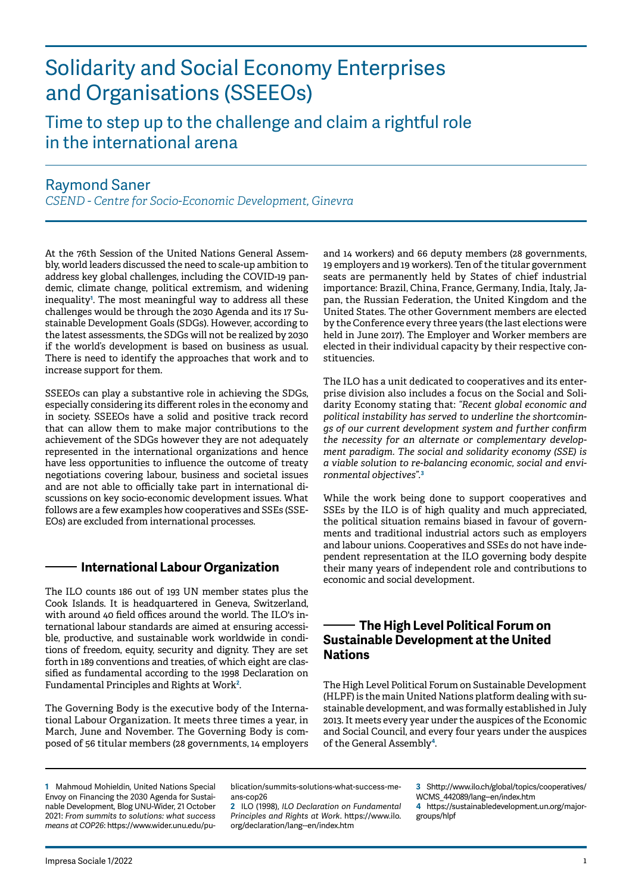# Solidarity and Social Economy Enterprises and Organisations (SSEEOs)

# Time to step up to the challenge and claim a rightful role in the international arena

## Raymond Saner

*CSEND - Centre for Socio-Economic Development, Ginevra*

At the 76th Session of the United Nations General Assembly, world leaders discussed the need to scale-up ambition to address key global challenges, including the COVID-19 pandemic, climate change, political extremism, and widening inequality**<sup>1</sup>** . The most meaningful way to address all these challenges would be through the 2030 Agenda and its 17 Sustainable Development Goals (SDGs). However, according to the latest assessments, the SDGs will not be realized by 2030 if the world's development is based on business as usual. There is need to identify the approaches that work and to increase support for them.

SSEEOs can play a substantive role in achieving the SDGs, especially considering its different roles in the economy and in society. SSEEOs have a solid and positive track record that can allow them to make major contributions to the achievement of the SDGs however they are not adequately represented in the international organizations and hence have less opportunities to influence the outcome of treaty negotiations covering labour, business and societal issues and are not able to officially take part in international discussions on key socio-economic development issues. What follows are a few examples how cooperatives and SSEs (SSE-EOs) are excluded from international processes.

#### **International Labour Organization**

The ILO counts 186 out of 193 UN member states plus the Cook Islands. It is headquartered in Geneva, Switzerland, with around 40 field offices around the world. The ILO's international labour standards are aimed at ensuring accessible, productive, and sustainable work worldwide in conditions of freedom, equity, security and dignity. They are set forth in 189 conventions and treaties, of which eight are classified as fundamental according to the 1998 Declaration on Fundamental Principles and Rights at Work**<sup>2</sup>** .

The Governing Body is the executive body of the International Labour Organization. It meets three times a year, in March, June and November. The Governing Body is composed of 56 titular members (28 governments, 14 employers

and 14 workers) and 66 deputy members (28 governments, 19 employers and 19 workers). Ten of the titular government seats are permanently held by States of chief industrial importance: Brazil, China, France, Germany, India, Italy, Japan, the Russian Federation, the United Kingdom and the United States. The other Government members are elected by the Conference every three years (the last elections were held in June 2017). The Employer and Worker members are elected in their individual capacity by their respective constituencies.

The ILO has a unit dedicated to cooperatives and its enterprise division also includes a focus on the Social and Solidarity Economy stating that: *"Recent global economic and political instability has served to underline the shortcomings of our current development system and further confirm the necessity for an alternate or complementary development paradigm. The social and solidarity economy (SSE) is a viable solution to re-balancing economic, social and environmental objectives".***<sup>3</sup>**

While the work being done to support cooperatives and SSEs by the ILO is of high quality and much appreciated, the political situation remains biased in favour of governments and traditional industrial actors such as employers and labour unions. Cooperatives and SSEs do not have independent representation at the ILO governing body despite their many years of independent role and contributions to economic and social development.

#### **The High Level Political Forum on Sustainable Development at the United Nations**

The High Level Political Forum on Sustainable Development (HLPF) is the main United Nations platform dealing with sustainable development, and was formally established in July 2013. It meets every year under the auspices of the Economic and Social Council, and every four years under the auspices of the General Assembly**<sup>4</sup>**.

**1** Mahmoud Mohieldin, United Nations Special Envoy on Financing the 2030 Agenda for Sustainable Development, Blog UNU-Wider, 21 October 2021: *From summits to solutions: what success means at COP26*: https://www.wider.unu.edu/publication/summits-solutions-what-success-means-cop26

**2** ILO (1998), *ILO Declaration on Fundamental Principles and Rights at Work*. https://www.ilo. org/declaration/lang--en/index.htm

**3** Shttp://www.ilo.ch/global/topics/cooperatives/ WCMS\_442089/lang--en/index.htm

**4** https://sustainabledevelopment.un.org/majorgroups/hlpf